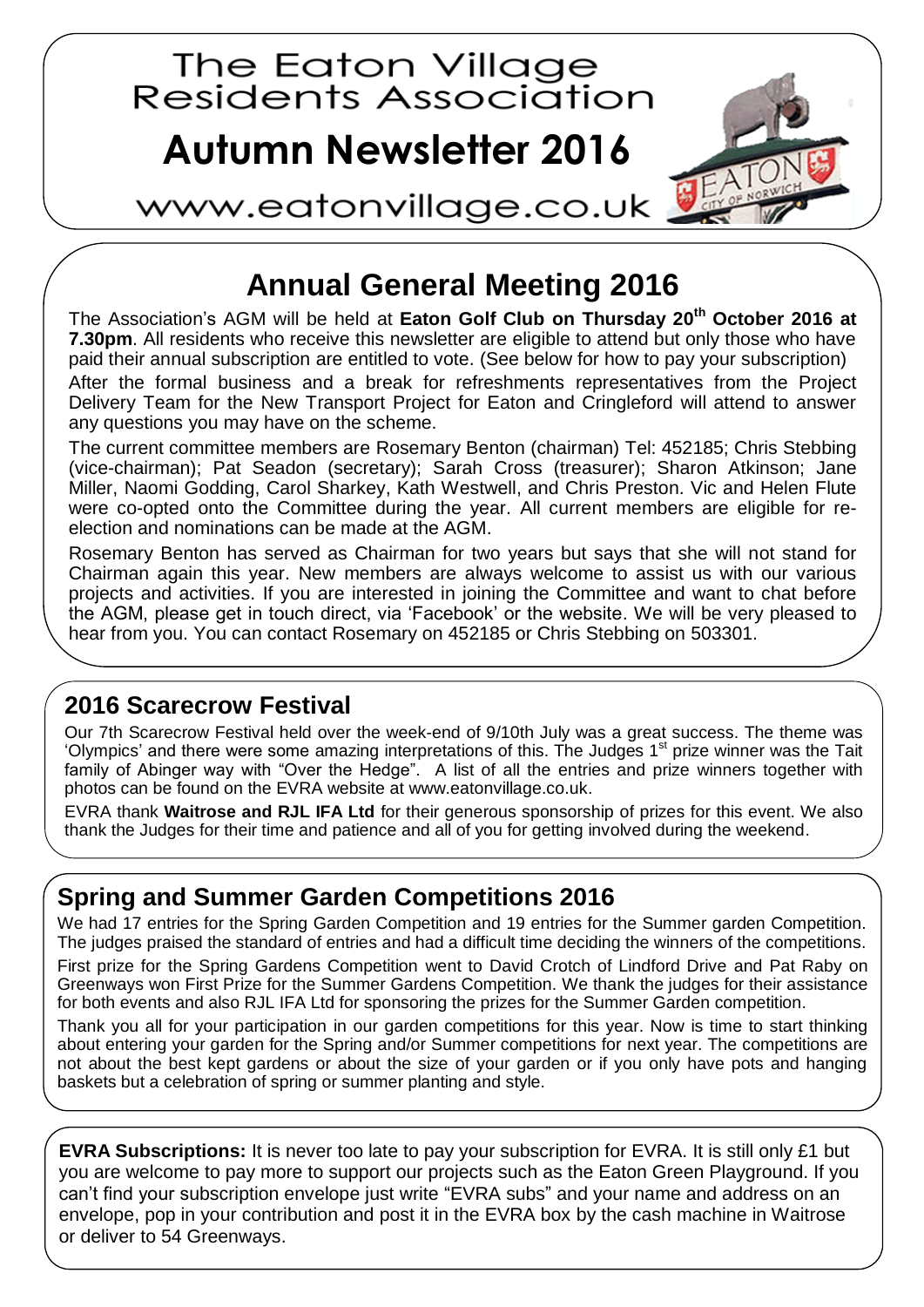

## **Annual General Meeting 2016**

The Association's AGM will be held at **Eaton Golf Club on Thursday 20th October 2016 at 7.30pm**. All residents who receive this newsletter are eligible to attend but only those who have paid their annual subscription are entitled to vote. (See below for how to pay your subscription) After the formal business and a break for refreshments representatives from the Project Delivery Team for the New Transport Project for Eaton and Cringleford will attend to answer any questions you may have on the scheme.

The current committee members are Rosemary Benton (chairman) Tel: 452185; Chris Stebbing (vice-chairman); Pat Seadon (secretary); Sarah Cross (treasurer); Sharon Atkinson; Jane Miller, Naomi Godding, Carol Sharkey, Kath Westwell, and Chris Preston. Vic and Helen Flute were co-opted onto the Committee during the year. All current members are eligible for reelection and nominations can be made at the AGM.

Rosemary Benton has served as Chairman for two years but says that she will not stand for Chairman again this year. New members are always welcome to assist us with our various projects and activities. If you are interested in joining the Committee and want to chat before the AGM, please get in touch direct, via 'Facebook' or the website. We will be very pleased to hear from you. You can contact Rosemary on 452185 or Chris Stebbing on 503301.

## **2016 Scarecrow Festival**

Our 7th Scarecrow Festival held over the week-end of 9/10th July was a great success. The theme was 'Olympics' and there were some amazing interpretations of this. The Judges 1<sup>st</sup> prize winner was the Tait family of Abinger way with "Over the Hedge". A list of all the entries and prize winners together with photos can be found on the EVRA website at [www.eatonvillage.co.uk.](http://www.eatonvillage.co.uk/)

EVRA thank **Waitrose and RJL IFA Ltd** for their generous sponsorship of prizes for this event. We also thank the Judges for their time and patience and all of you for getting involved during the weekend.

## **Spring and Summer Garden Competitions 2016**

We had 17 entries for the Spring Garden Competition and 19 entries for the Summer garden Competition. The judges praised the standard of entries and had a difficult time deciding the winners of the competitions.

First prize for the Spring Gardens Competition went to David Crotch of Lindford Drive and Pat Raby on Greenways won First Prize for the Summer Gardens Competition. We thank the judges for their assistance for both events and also RJL IFA Ltd for sponsoring the prizes for the Summer Garden competition.

Thank you all for your participation in our garden competitions for this year. Now is time to start thinking about entering your garden for the Spring and/or Summer competitions for next year. The competitions are not about the best kept gardens or about the size of your garden or if you only have pots and hanging baskets but a celebration of spring or summer planting and style.

**EVRA Subscriptions:** It is never too late to pay your subscription for EVRA. It is still only £1 but you are welcome to pay more to support our projects such as the Eaton Green Playground. If you can't find your subscription envelope just write "EVRA subs" and your name and address on an envelope, pop in your contribution and post it in the EVRA box by the cash machine in Waitrose or deliver to 54 Greenways.